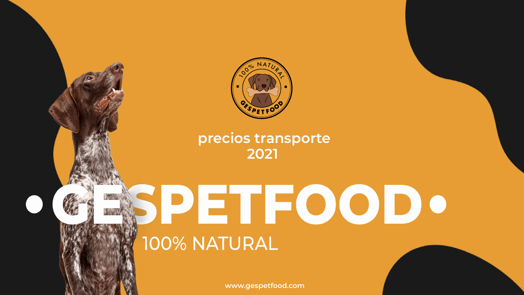

# PETFOODO 100% NATURAL

www.gespetfood.com



## precios transporte 2021

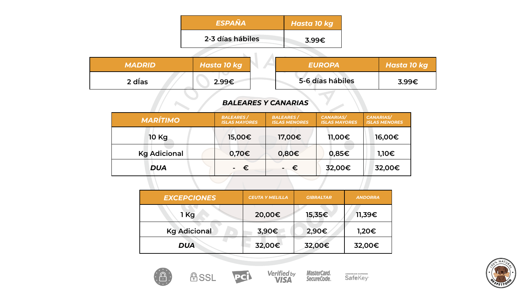

#### *ESPAÑA*

### 2-3 días háb

|             | <b>Hasta 10 kg</b> |
|-------------|--------------------|
| <b>iles</b> | 3.99€              |
|             |                    |





AMERICAN EXPRESS

| <b>MARÍTIMO</b>     | <b>BALEARES</b> /<br><b>ISLAS MAYORES</b> | <b>BALEARES</b> /<br><b>ISLAS MENORES</b> | <b>CANARIAS/</b><br><b>ISLAS MAYORES</b> | <b>CANARIAS/</b><br><b>ISLAS MENORES</b> |
|---------------------|-------------------------------------------|-------------------------------------------|------------------------------------------|------------------------------------------|
| <b>10 Kg</b>        | 15,00€                                    | 17,00€                                    | 11,00€                                   | 16,00€                                   |
| <b>Kg Adicional</b> | 0,70€                                     | $0,80 \in$                                | $0,85 \in$                               | $1,10 \in$                               |
| <b>DUA</b>          | €                                         | €                                         | 32,00€                                   | 32,00€                                   |
|                     |                                           |                                           |                                          |                                          |

| <b>EXCEPCIONES</b>  | <b>CEUTA Y MELILLA</b> | <b>GIBRALTAR</b> | <b>ANDORRA</b> |
|---------------------|------------------------|------------------|----------------|
| 1 Kg                | 20,00€                 | 15,35€           | 11,39          |
| <b>Kg Adicional</b> | 3,90€                  | 2,90€            | $1,20 \in$     |
| <b>DUA</b>          | 32,00€                 | 32,00€           | 32,00€         |







| <b>MADRID</b> | Hasta 10 kg                                                                                                    |                                                         | <b>EUROPA</b>    | <b>Hasta 10 kg</b> |
|---------------|----------------------------------------------------------------------------------------------------------------|---------------------------------------------------------|------------------|--------------------|
| 2 días        | 2.99€                                                                                                          |                                                         | 5-6 días hábiles | 3.99€              |
|               | <b>BALEARES Y CANARIAS</b><br>$\mathbf{m} \mathbf{a} \mathbf{b} = \mathbf{a} \mathbf{m} \mathbf{m} \mathbf{a}$ | $\sim$ $\sim$ $\sim$ $\sim$ $\sim$ $\sim$ $\sim$ $\sim$ | $\frac{1}{2}$    |                    |

#### *BALEARES Y CANARIAS*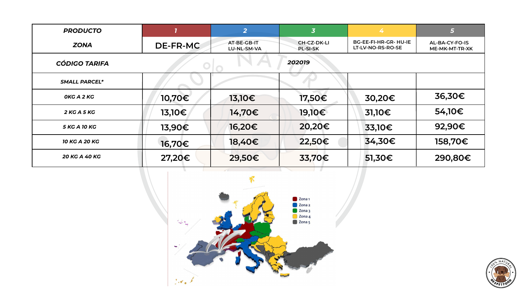



| <b>PRODUCTO</b>      |                 | $\overline{2}$             | $\overline{\mathbf{3}}$               | 4                                                 | 5                                              |
|----------------------|-----------------|----------------------------|---------------------------------------|---------------------------------------------------|------------------------------------------------|
| <b>ZONA</b>          | <b>DE-FR-MC</b> | AT-BE-GB-IT<br>LU-NL-SM-VA | <b>CH-CZ-DK-LI</b><br><b>PL-SI-SK</b> | <b>BG-EE-FI-HR-GR- HU-IE</b><br>LT-LV-NO-RS-RO-SE | <b>AL-BA-CY-FO-IS</b><br><b>ME-MK-MT-TR-XK</b> |
| <b>CÓDIGO TARIFA</b> |                 |                            | 202019                                |                                                   |                                                |
| <b>SMALL PARCEL*</b> |                 |                            |                                       |                                                   |                                                |
| OKG A 2 KG           | 10,70€          | 13,10€                     | 17,50€                                | 30,20€                                            | 36,30€                                         |
| <b>2 KG A 5 KG</b>   | 13,10€          | 14,70€                     | 19,10€                                | $31,10 \in$                                       | 54,10€                                         |
| <b>5 KG A 10 KG</b>  | 13,90€          | 16,20€                     | 20,20€                                | 33,10€                                            | 92,90€                                         |
| <b>10 KG A 20 KG</b> | 16,70€          | 18,40€                     | 22,50€                                | 34,30€                                            | 158,70€                                        |
| 20 KG A 40 KG        | 27,20€          | 29,50€                     | 33,70€                                | $51,30 \in$                                       | 290,80€                                        |